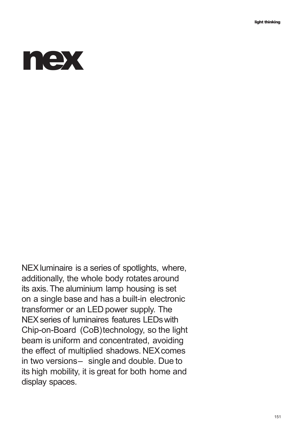

NEX luminaire is a series of spotlights, where, additionally, the whole body rotates around its axis.The aluminium lamp housing is set on a single base and has a built-in electronic transformer or an LED power supply. The NEX series of luminaires features LEDs with Chip-on-Board (CoB)technology, so the light beam is uniform and concentrated, avoiding the effect of multiplied shadows. NEX comes in two versions– single and double. Due to its high mobility, it is great for both home and display spaces.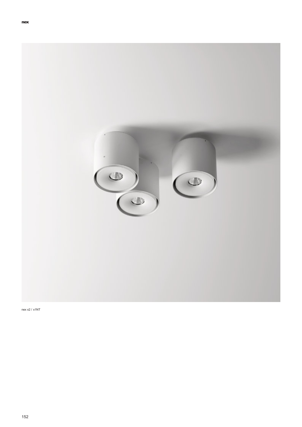

 $nex x2 / x1NT$